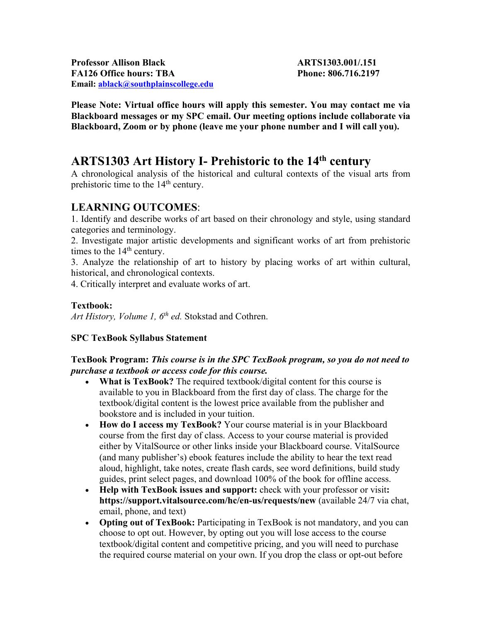**Professor Allison Black ARTS1303.001/.151 FA126 Office hours: TBA Phone: 806.716.2197 Email: ablack@southplainscollege.edu** 

**Please Note: Virtual office hours will apply this semester. You may contact me via Blackboard messages or my SPC email. Our meeting options include collaborate via Blackboard, Zoom or by phone (leave me your phone number and I will call you).** 

# **ARTS1303 Art History I- Prehistoric to the 14th century**

A chronological analysis of the historical and cultural contexts of the visual arts from prehistoric time to the 14<sup>th</sup> century.

# **LEARNING OUTCOMES**:

1. Identify and describe works of art based on their chronology and style, using standard categories and terminology.

2. Investigate major artistic developments and significant works of art from prehistoric times to the  $14<sup>th</sup>$  century.

3. Analyze the relationship of art to history by placing works of art within cultural, historical, and chronological contexts.

4. Critically interpret and evaluate works of art.

## **Textbook:**

*Art History, Volume 1, 6th ed.* Stokstad and Cothren.

## **SPC TexBook Syllabus Statement**

## **TexBook Program:** *This course is in the SPC TexBook program, so you do not need to purchase a textbook or access code for this course.*

- **What is TexBook?** The required textbook/digital content for this course is available to you in Blackboard from the first day of class. The charge for the textbook/digital content is the lowest price available from the publisher and bookstore and is included in your tuition.
- **How do I access my TexBook?** Your course material is in your Blackboard course from the first day of class. Access to your course material is provided either by VitalSource or other links inside your Blackboard course. VitalSource (and many publisher's) ebook features include the ability to hear the text read aloud, highlight, take notes, create flash cards, see word definitions, build study guides, print select pages, and download 100% of the book for offline access.
- **Help with TexBook issues and support:** check with your professor or visit**: https://support.vitalsource.com/hc/en-us/requests/new** (available 24/7 via chat, email, phone, and text)
- **Opting out of TexBook:** Participating in TexBook is not mandatory, and you can choose to opt out. However, by opting out you will lose access to the course textbook/digital content and competitive pricing, and you will need to purchase the required course material on your own. If you drop the class or opt-out before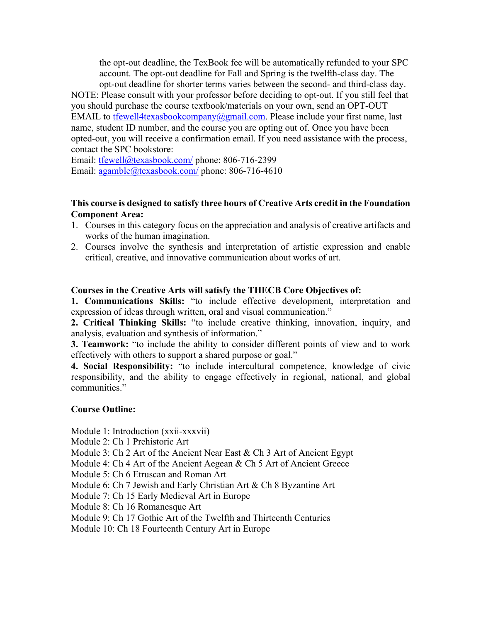the opt-out deadline, the TexBook fee will be automatically refunded to your SPC account. The opt-out deadline for Fall and Spring is the twelfth-class day. The opt-out deadline for shorter terms varies between the second- and third-class day.

NOTE: Please consult with your professor before deciding to opt-out. If you still feel that you should purchase the course textbook/materials on your own, send an OPT-OUT EMAIL to tfewell4texasbookcompany@gmail.com. Please include your first name, last name, student ID number, and the course you are opting out of. Once you have been opted-out, you will receive a confirmation email. If you need assistance with the process, contact the SPC bookstore:

Email: tfewell@texasbook.com/ phone: 806-716-2399 Email: agamble@texasbook.com/ phone: 806-716-4610

## **This course is designed to satisfy three hours of Creative Arts credit in the Foundation Component Area:**

- 1. Courses in this category focus on the appreciation and analysis of creative artifacts and works of the human imagination.
- 2. Courses involve the synthesis and interpretation of artistic expression and enable critical, creative, and innovative communication about works of art.

## **Courses in the Creative Arts will satisfy the THECB Core Objectives of:**

**1. Communications Skills:** "to include effective development, interpretation and expression of ideas through written, oral and visual communication."

**2. Critical Thinking Skills:** "to include creative thinking, innovation, inquiry, and analysis, evaluation and synthesis of information."

**3. Teamwork:** "to include the ability to consider different points of view and to work effectively with others to support a shared purpose or goal."

**4. Social Responsibility:** "to include intercultural competence, knowledge of civic responsibility, and the ability to engage effectively in regional, national, and global communities."

## **Course Outline:**

Module 1: Introduction (xxii-xxxvii)

- Module 2: Ch 1 Prehistoric Art
- Module 3: Ch 2 Art of the Ancient Near East & Ch 3 Art of Ancient Egypt
- Module 4: Ch 4 Art of the Ancient Aegean & Ch 5 Art of Ancient Greece
- Module 5: Ch 6 Etruscan and Roman Art
- Module 6: Ch 7 Jewish and Early Christian Art & Ch 8 Byzantine Art
- Module 7: Ch 15 Early Medieval Art in Europe
- Module 8: Ch 16 Romanesque Art
- Module 9: Ch 17 Gothic Art of the Twelfth and Thirteenth Centuries
- Module 10: Ch 18 Fourteenth Century Art in Europe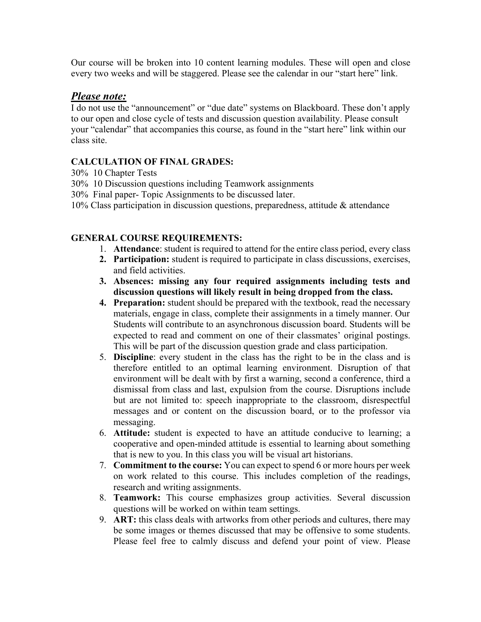Our course will be broken into 10 content learning modules. These will open and close every two weeks and will be staggered. Please see the calendar in our "start here" link.

# *Please note:*

I do not use the "announcement" or "due date" systems on Blackboard. These don't apply to our open and close cycle of tests and discussion question availability. Please consult your "calendar" that accompanies this course, as found in the "start here" link within our class site.

# **CALCULATION OF FINAL GRADES:**

- 30% 10 Chapter Tests
- 30% 10 Discussion questions including Teamwork assignments
- 30% Final paper- Topic Assignments to be discussed later.
- 10% Class participation in discussion questions, preparedness, attitude & attendance

## **GENERAL COURSE REQUIREMENTS:**

- 1. **Attendance**: student is required to attend for the entire class period, every class
- **2. Participation:** student is required to participate in class discussions, exercises, and field activities.
- **3. Absences: missing any four required assignments including tests and discussion questions will likely result in being dropped from the class.**
- **4. Preparation:** student should be prepared with the textbook, read the necessary materials, engage in class, complete their assignments in a timely manner. Our Students will contribute to an asynchronous discussion board. Students will be expected to read and comment on one of their classmates' original postings. This will be part of the discussion question grade and class participation.
- 5. **Discipline**: every student in the class has the right to be in the class and is therefore entitled to an optimal learning environment. Disruption of that environment will be dealt with by first a warning, second a conference, third a dismissal from class and last, expulsion from the course. Disruptions include but are not limited to: speech inappropriate to the classroom, disrespectful messages and or content on the discussion board, or to the professor via messaging.
- 6. **Attitude:** student is expected to have an attitude conducive to learning; a cooperative and open-minded attitude is essential to learning about something that is new to you. In this class you will be visual art historians.
- 7. **Commitment to the course:** You can expect to spend 6 or more hours per week on work related to this course. This includes completion of the readings, research and writing assignments.
- 8. **Teamwork:** This course emphasizes group activities. Several discussion questions will be worked on within team settings.
- 9. **ART:** this class deals with artworks from other periods and cultures, there may be some images or themes discussed that may be offensive to some students. Please feel free to calmly discuss and defend your point of view. Please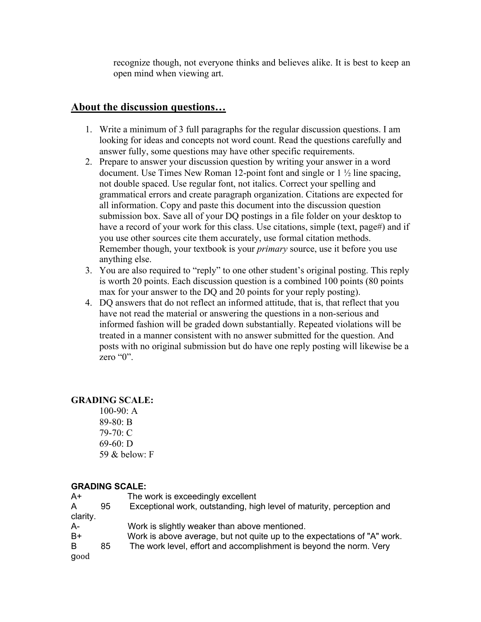recognize though, not everyone thinks and believes alike. It is best to keep an open mind when viewing art.

# **About the discussion questions…**

- 1. Write a minimum of 3 full paragraphs for the regular discussion questions. I am looking for ideas and concepts not word count. Read the questions carefully and answer fully, some questions may have other specific requirements.
- 2. Prepare to answer your discussion question by writing your answer in a word document. Use Times New Roman 12-point font and single or 1 ½ line spacing, not double spaced. Use regular font, not italics. Correct your spelling and grammatical errors and create paragraph organization. Citations are expected for all information. Copy and paste this document into the discussion question submission box. Save all of your DQ postings in a file folder on your desktop to have a record of your work for this class. Use citations, simple (text, page#) and if you use other sources cite them accurately, use formal citation methods. Remember though, your textbook is your *primary* source, use it before you use anything else.
- 3. You are also required to "reply" to one other student's original posting. This reply is worth 20 points. Each discussion question is a combined 100 points (80 points max for your answer to the DQ and 20 points for your reply posting).
- 4. DQ answers that do not reflect an informed attitude, that is, that reflect that you have not read the material or answering the questions in a non-serious and informed fashion will be graded down substantially. Repeated violations will be treated in a manner consistent with no answer submitted for the question. And posts with no original submission but do have one reply posting will likewise be a zero " $0$ ".

## **GRADING SCALE:**

100-90: A 89-80: B 79-70: C 69-60: D 59 & below: F

#### **GRADING SCALE:**

| A+       |    | The work is exceedingly excellent                                        |
|----------|----|--------------------------------------------------------------------------|
| A        | 95 | Exceptional work, outstanding, high level of maturity, perception and    |
| clarity. |    |                                                                          |
| A-       |    | Work is slightly weaker than above mentioned.                            |
| B+       |    | Work is above average, but not quite up to the expectations of "A" work. |
| B.       | 85 | The work level, effort and accomplishment is beyond the norm. Very       |
| good     |    |                                                                          |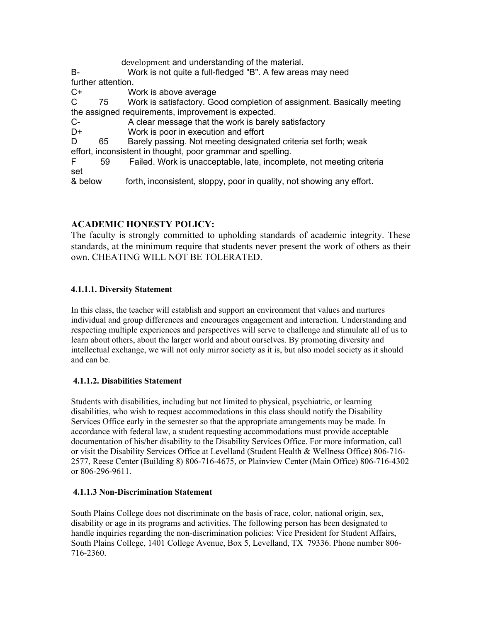development and understanding of the material.

B- Work is not quite a full-fledged "B". A few areas may need further attention.

C+ Work is above average

C 75 Work is satisfactory. Good completion of assignment. Basically meeting the assigned requirements, improvement is expected.

C- A clear message that the work is barely satisfactory

D+ Work is poor in execution and effort

D 65 Barely passing. Not meeting designated criteria set forth; weak

effort, inconsistent in thought, poor grammar and spelling.

F 59 Failed. Work is unacceptable, late, incomplete, not meeting criteria set

& below forth, inconsistent, sloppy, poor in quality, not showing any effort.

# **ACADEMIC HONESTY POLICY:**

The faculty is strongly committed to upholding standards of academic integrity. These standards, at the minimum require that students never present the work of others as their own. CHEATING WILL NOT BE TOLERATED.

## **4.1.1.1. Diversity Statement**

In this class, the teacher will establish and support an environment that values and nurtures individual and group differences and encourages engagement and interaction. Understanding and respecting multiple experiences and perspectives will serve to challenge and stimulate all of us to learn about others, about the larger world and about ourselves. By promoting diversity and intellectual exchange, we will not only mirror society as it is, but also model society as it should and can be.

#### **4.1.1.2. Disabilities Statement**

Students with disabilities, including but not limited to physical, psychiatric, or learning disabilities, who wish to request accommodations in this class should notify the Disability Services Office early in the semester so that the appropriate arrangements may be made. In accordance with federal law, a student requesting accommodations must provide acceptable documentation of his/her disability to the Disability Services Office. For more information, call or visit the Disability Services Office at Levelland (Student Health & Wellness Office) 806-716- 2577, Reese Center (Building 8) 806-716-4675, or Plainview Center (Main Office) 806-716-4302 or 806-296-9611.

#### **4.1.1.3 Non-Discrimination Statement**

South Plains College does not discriminate on the basis of race, color, national origin, sex, disability or age in its programs and activities. The following person has been designated to handle inquiries regarding the non-discrimination policies: Vice President for Student Affairs, South Plains College, 1401 College Avenue, Box 5, Levelland, TX 79336. Phone number 806- 716-2360.